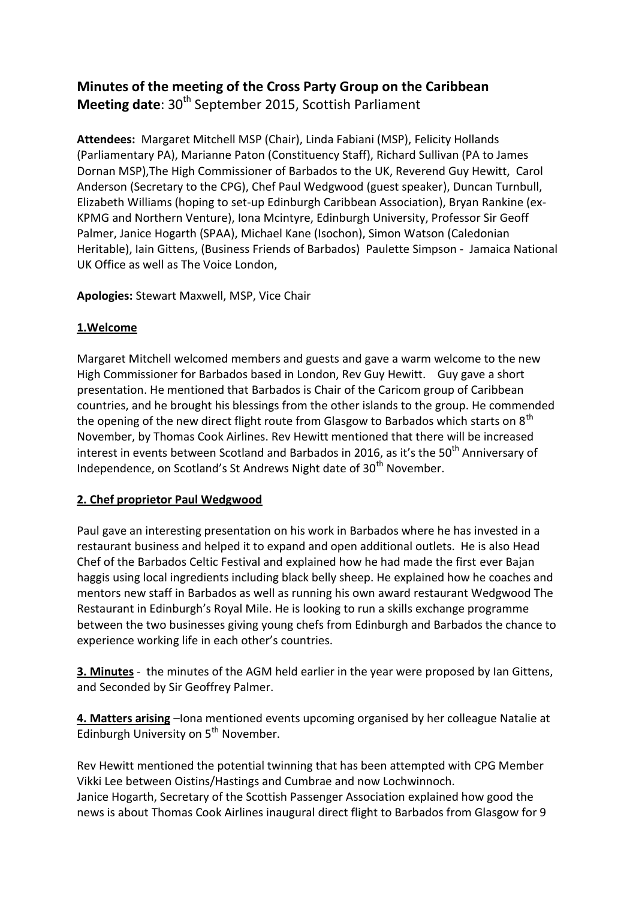## **Minutes of the meeting of the Cross Party Group on the Caribbean Meeting date:** 30<sup>th</sup> September 2015, Scottish Parliament

**Attendees:** Margaret Mitchell MSP (Chair), Linda Fabiani (MSP), Felicity Hollands (Parliamentary PA), Marianne Paton (Constituency Staff), Richard Sullivan (PA to James Dornan MSP),The High Commissioner of Barbados to the UK, Reverend Guy Hewitt, Carol Anderson (Secretary to the CPG), Chef Paul Wedgwood (guest speaker), Duncan Turnbull, Elizabeth Williams (hoping to set-up Edinburgh Caribbean Association), Bryan Rankine (ex-KPMG and Northern Venture), Iona Mcintyre, Edinburgh University, Professor Sir Geoff Palmer, Janice Hogarth (SPAA), Michael Kane (Isochon), Simon Watson (Caledonian Heritable), Iain Gittens, (Business Friends of Barbados) Paulette Simpson - Jamaica National UK Office as well as The Voice London,

**Apologies:** Stewart Maxwell, MSP, Vice Chair

## **1.Welcome**

Margaret Mitchell welcomed members and guests and gave a warm welcome to the new High Commissioner for Barbados based in London, Rev Guy Hewitt. Guy gave a short presentation. He mentioned that Barbados is Chair of the Caricom group of Caribbean countries, and he brought his blessings from the other islands to the group. He commended the opening of the new direct flight route from Glasgow to Barbados which starts on  $8<sup>th</sup>$ November, by Thomas Cook Airlines. Rev Hewitt mentioned that there will be increased interest in events between Scotland and Barbados in 2016, as it's the 50<sup>th</sup> Anniversary of Independence, on Scotland's St Andrews Night date of 30<sup>th</sup> November.

## **2. Chef proprietor Paul Wedgwood**

Paul gave an interesting presentation on his work in Barbados where he has invested in a restaurant business and helped it to expand and open additional outlets. He is also Head Chef of the Barbados Celtic Festival and explained how he had made the first ever Bajan haggis using local ingredients including black belly sheep. He explained how he coaches and mentors new staff in Barbados as well as running his own award restaurant Wedgwood The Restaurant in Edinburgh's Royal Mile. He is looking to run a skills exchange programme between the two businesses giving young chefs from Edinburgh and Barbados the chance to experience working life in each other's countries.

**3. Minutes** - the minutes of the AGM held earlier in the year were proposed by Ian Gittens, and Seconded by Sir Geoffrey Palmer.

**4. Matters arising** –Iona mentioned events upcoming organised by her colleague Natalie at Edinburgh University on 5<sup>th</sup> November.

Rev Hewitt mentioned the potential twinning that has been attempted with CPG Member Vikki Lee between Oistins/Hastings and Cumbrae and now Lochwinnoch. Janice Hogarth, Secretary of the Scottish Passenger Association explained how good the news is about Thomas Cook Airlines inaugural direct flight to Barbados from Glasgow for 9